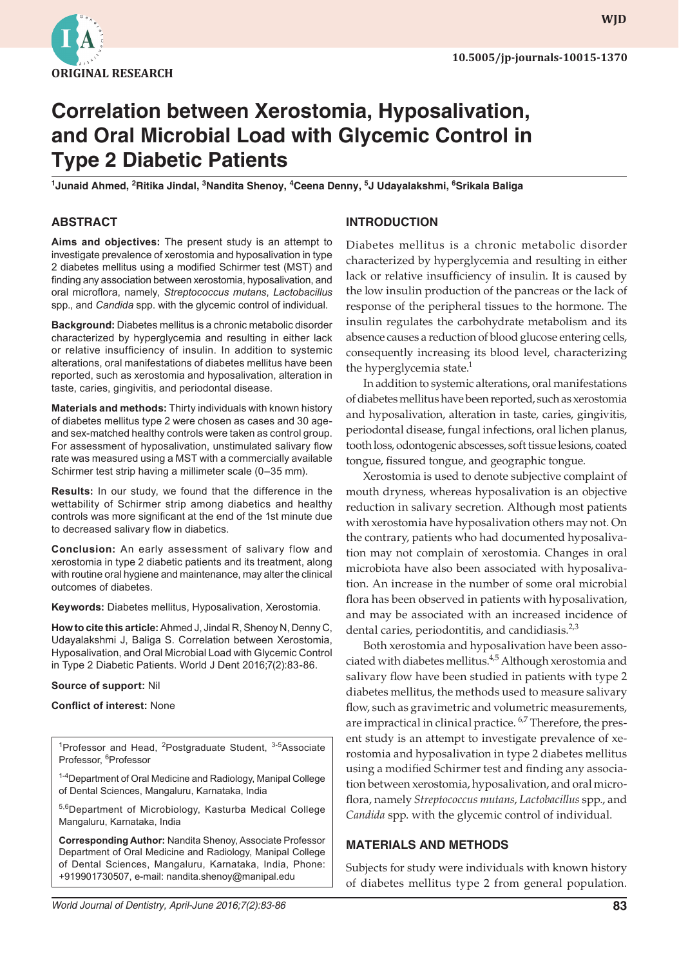

# **Correlation between Xerostomia, Hyposalivation, and Oral Microbial Load with Glycemic Control in Type 2 Diabetic Patients**

**1 Junaid Ahmed, 2 Ritika Jindal, 3 Nandita Shenoy, 4 Ceena Denny, <sup>5</sup> J Udayalakshmi, <sup>6</sup> Srikala Baliga**

## **ABSTRACT**

**Aims and objectives:** The present study is an attempt to investigate prevalence of xerostomia and hyposalivation in type 2 diabetes mellitus using a modified Schirmer test (MST) and finding any association between xerostomia, hyposalivation, and oral microflora, namely, *Streptococcus mutans*, *Lactobacillus* spp., and *Candida* spp. with the glycemic control of individual.

**Background:** Diabetes mellitus is a chronic metabolic disorder characterized by hyperglycemia and resulting in either lack or relative insufficiency of insulin. In addition to systemic alterations, oral manifestations of diabetes mellitus have been reported, such as xerostomia and hyposalivation, alteration in taste, caries, gingivitis, and periodontal disease.

**Materials and methods:** Thirty individuals with known history of diabetes mellitus type 2 were chosen as cases and 30 ageand sex-matched healthy controls were taken as control group. For assessment of hyposalivation, unstimulated salivary flow rate was measured using a MST with a commercially available Schirmer test strip having a millimeter scale (0–35 mm).

**Results:** In our study, we found that the difference in the wettability of Schirmer strip among diabetics and healthy controls was more significant at the end of the 1st minute due to decreased salivary flow in diabetics.

**Conclusion:** An early assessment of salivary flow and xerostomia in type 2 diabetic patients and its treatment, along with routine oral hygiene and maintenance, may alter the clinical outcomes of diabetes.

**Keywords:** Diabetes mellitus, Hyposalivation, Xerostomia.

**How to cite this article:** Ahmed J, Jindal R, Shenoy N, Denny C, Udayalakshmi J, Baliga S. Correlation between Xerostomia, Hyposalivation, and Oral Microbial Load with Glycemic Control in Type 2 Diabetic Patients. World J Dent 2016;7(2):83-86.

#### **Source of support:** Nil

#### **Conflict of interest:** None

<sup>1</sup>Professor and Head, <sup>2</sup>Postgraduate Student, <sup>3-5</sup>Associate Professor, <sup>6</sup>Professor

<sup>1-4</sup>Department of Oral Medicine and Radiology, Manipal College of Dental Sciences, Mangaluru, Karnataka, India

5,6Department of Microbiology, Kasturba Medical College Mangaluru, Karnataka, India

**Corresponding Author:** Nandita Shenoy, Associate Professor Department of Oral Medicine and Radiology, Manipal College of Dental Sciences, Mangaluru, Karnataka, India, Phone: +919901730507, e-mail: nandita.shenoy@manipal.edu

## **INTRODUCTION**

Diabetes mellitus is a chronic metabolic disorder characterized by hyperglycemia and resulting in either lack or relative insufficiency of insulin. It is caused by the low insulin production of the pancreas or the lack of response of the peripheral tissues to the hormone. The insulin regulates the carbohydrate metabolism and its absence causes a reduction of blood glucose entering cells, consequently increasing its blood level, characterizing the hyperglycemia state. $<sup>1</sup>$ </sup>

In addition to systemic alterations, oral manifestations of diabetes mellitus have been reported, such as xerostomia and hyposalivation, alteration in taste, caries, gingivitis, periodontal disease, fungal infections, oral lichen planus, tooth loss, odontogenic abscesses, soft tissue lesions, coated tongue, fissured tongue, and geographic tongue.

Xerostomia is used to denote subjective complaint of mouth dryness, whereas hyposalivation is an objective reduction in salivary secretion. Although most patients with xerostomia have hyposalivation others may not. On the contrary, patients who had documented hyposalivation may not complain of xerostomia. Changes in oral microbiota have also been associated with hyposalivation. An increase in the number of some oral microbial flora has been observed in patients with hyposalivation, and may be associated with an increased incidence of dental caries, periodontitis, and candidiasis. $2,3$ 

Both xerostomia and hyposalivation have been associated with diabetes mellitus.<sup>4,5</sup> Although xerostomia and salivary flow have been studied in patients with type 2 diabetes mellitus, the methods used to measure salivary flow, such as gravimetric and volumetric measurements, are impractical in clinical practice. <sup>6,7</sup> Therefore, the present study is an attempt to investigate prevalence of xerostomia and hyposalivation in type 2 diabetes mellitus using a modified Schirmer test and finding any association between xerostomia, hyposalivation, and oral microflora, namely *Streptococcus mutans*, *Lactobacillus* spp., and *Candida* spp. with the glycemic control of individual.

#### **MATERIALS AND METHODS**

Subjects for study were individuals with known history of diabetes mellitus type 2 from general population.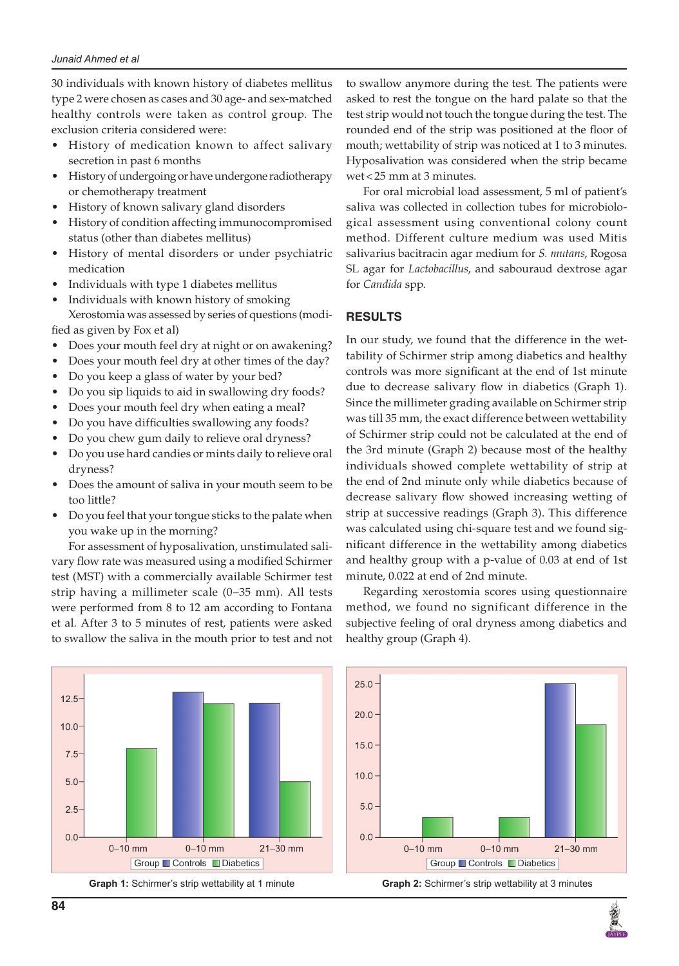30 individuals with known history of diabetes mellitus type 2 were chosen as cases and 30 age- and sex-matched healthy controls were taken as control group. The exclusion criteria considered were:

- History of medication known to affect salivary secretion in past 6 months
- History of undergoing or have undergone radiotherapy or chemotherapy treatment
- History of known salivary gland disorders
- History of condition affecting immunocompromised status (other than diabetes mellitus)
- History of mental disorders or under psychiatric medication
- Individuals with type 1 diabetes mellitus
- Individuals with known history of smoking Xerostomia was assessed by series of questions (modified as given by Fox et al)
- Does your mouth feel dry at night or on awakening?
- Does your mouth feel dry at other times of the day?
- Do you keep a glass of water by your bed?
- Do you sip liquids to aid in swallowing dry foods?
- Does your mouth feel dry when eating a meal?
- Do you have difficulties swallowing any foods?
- Do you chew gum daily to relieve oral dryness?
- Do you use hard candies or mints daily to relieve oral dryness?
- Does the amount of saliva in your mouth seem to be too little?
- Do you feel that your tongue sticks to the palate when you wake up in the morning?

For assessment of hyposalivation, unstimulated salivary flow rate was measured using a modified Schirmer test (MST) with a commercially available Schirmer test strip having a millimeter scale (0–35 mm). All tests were performed from 8 to 12 am according to Fontana et al. After 3 to 5 minutes of rest, patients were asked to swallow the saliva in the mouth prior to test and not

 $12.5$  $10.0$  $7.5$  $5.0$  $2.5$  $0.0$  $0 - 10$  mm  $21 - 30$  mm  $0-10$  mm Group ■ Controls ■ Diabetics

to swallow anymore during the test. The patients were asked to rest the tongue on the hard palate so that the test strip would not touch the tongue during the test. The rounded end of the strip was positioned at the floor of mouth; wettability of strip was noticed at 1 to 3 minutes. Hyposalivation was considered when the strip became wet<25 mm at 3 minutes.

For oral microbial load assessment, 5 ml of patient's saliva was collected in collection tubes for microbiological assessment using conventional colony count method. Different culture medium was used Mitis salivarius bacitracin agar medium for *S. mutans*, Rogosa SL agar for *Lactobacillus*, and sabouraud dextrose agar for *Candida* spp.

## **RESULTS**

In our study, we found that the difference in the wettability of Schirmer strip among diabetics and healthy controls was more significant at the end of 1st minute due to decrease salivary flow in diabetics (Graph 1). Since the millimeter grading available on Schirmer strip was till 35 mm, the exact difference between wettability of Schirmer strip could not be calculated at the end of the 3rd minute (Graph 2) because most of the healthy individuals showed complete wettability of strip at the end of 2nd minute only while diabetics because of decrease salivary flow showed increasing wetting of strip at successive readings (Graph 3). This difference was calculated using chi-square test and we found significant difference in the wettability among diabetics and healthy group with a p-value of 0.03 at end of 1st minute, 0.022 at end of 2nd minute.

Regarding xerostomia scores using questionnaire method, we found no significant difference in the subjective feeling of oral dryness among diabetics and healthy group (Graph 4).

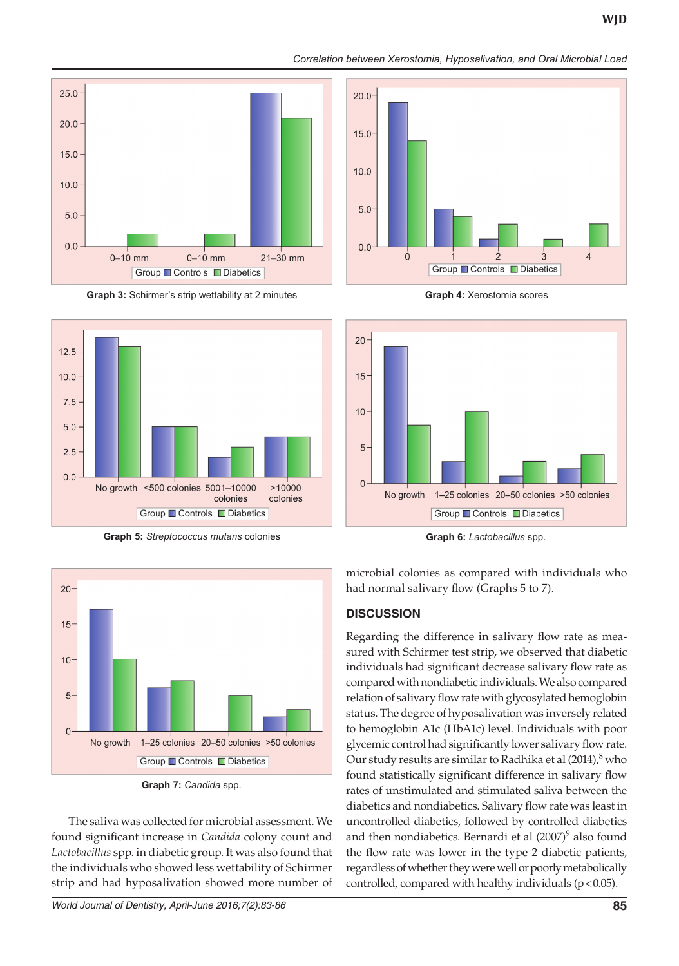







**Graph 5:** *Streptococcus mutans* colonies **Graph 6:** *Lactobacillus* spp.



**Graph 7:** *Candida* spp.

The saliva was collected for microbial assessment. We found significant increase in *Candida* colony count and *Lactobacillus* spp. in diabetic group. It was also found that the individuals who showed less wettability of Schirmer strip and had hyposalivation showed more number of

*World Journal of Dentistry, April-June 2016;7(2):83-86* **85**



**Graph 4:** Xerostomia scores



microbial colonies as compared with individuals who had normal salivary flow (Graphs 5 to 7).

## **DISCUSSION**

Regarding the difference in salivary flow rate as measured with Schirmer test strip, we observed that diabetic individuals had significant decrease salivary flow rate as compared with nondiabetic individuals. We also compared relation of salivary flow rate with glycosylated hemoglobin status. The degree of hyposalivation was inversely related to hemoglobin A1c (HbA1c) level. Individuals with poor glycemic control had significantly lower salivary flow rate. Our study results are similar to Radhika et al (2014), $^8$  who found statistically significant difference in salivary flow rates of unstimulated and stimulated saliva between the diabetics and nondiabetics. Salivary flow rate was least in uncontrolled diabetics, followed by controlled diabetics and then nondiabetics. Bernardi et al  $(2007)^9$  also found the flow rate was lower in the type 2 diabetic patients, regardless of whether they were well or poorly metabolically controlled, compared with healthy individuals ( $p$  < 0.05).